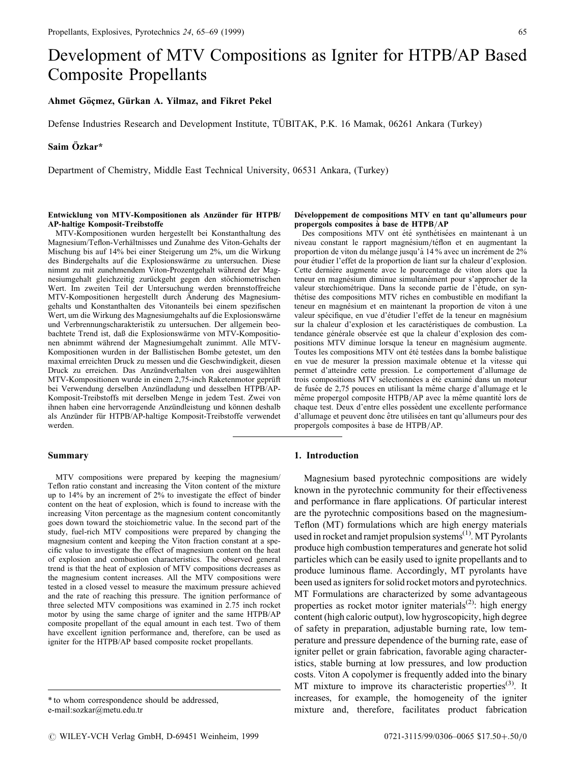# Development of MTV Compositions as Igniter for HTPB/AP Based Composite Propellants

# Ahmet Göçmez, Gürkan A. Yilmaz, and Fikret Pekel

Defense Industries Research and Development Institute, TÜBITAK, P.K. 16 Mamak, 06261 Ankara (Turkey)

## Saim Özkar\*

Department of Chemistry, Middle East Technical University, 06531 Ankara, (Turkey)

### Entwicklung von MTV-Kompositionen als Anzünder für HTPB/ AP-haltige Komposit-Treibstoffe

MTV-Kompositionen wurden hergestellt bei Konstanthaltung des Magnesium/Teflon-Verhältnisses und Zunahme des Viton-Gehalts der Mischung bis auf 14% bei einer Steigerung um 2%, um die Wirkung des Bindergehalts auf die Explosionswärme zu untersuchen. Diese nimmt zu mit zunehmendem Viton-Prozentgehalt während der Magnesiumgehalt gleichzeitig zurückgeht gegen den stöchiometrischen Wert. Im zweiten Teil der Untersuchung werden brennstoffreiche MTV-Kompositionen hergestellt durch Anderung des Magnesiumgehalts und Konstanthalten des Vitonanteils bei einem spezifischen Wert, um die Wirkung des Magnesiumgehalts auf die Explosionswärne und Verbrennungscharakteristik zu untersuchen. Der allgemein beobachtete Trend ist, daß die Explosionswärme von MTV-Kompositionen abnimmt waÈhrend der Magnesiumgehalt zunimmt. Alle MTV-Kompositionen wurden in der Ballistischen Bombe getestet, um den maximal erreichten Druck zu messen und die Geschwindigkeit, diesen Druck zu erreichen. Das Anzündverhalten von drei ausgewählten MTV-Kompositionen wurde in einem 2,75-inch Raketenmotor geprüft bei Verwendung derselben Anzündladung und desselben HTPB/AP-Komposit-Treibstoffs mit derselben Menge in jedem Test. Zwei von ihnen haben eine hervorragende Anzündleistung und können deshalb als Anzünder für HTPB/AP-haltige Komposit-Treibstoffe verwendet werden.

#### Summary

MTV compositions were prepared by keeping the magnesium/ Teflon ratio constant and increasing the Viton content of the mixture up to 14% by an increment of 2% to investigate the effect of binder content on the heat of explosion, which is found to increase with the increasing Viton percentage as the magnesium content concomitantly goes down toward the stoichiometric value. In the second part of the study, fuel-rich MTV compositions were prepared by changing the magnesium content and keeping the Viton fraction constant at a specific value to investigate the effect of magnesium content on the heat of explosion and combustion characteristics. The observed general trend is that the heat of explosion of MTV compositions decreases as the magnesium content increases. All the MTV compositions were tested in a closed vessel to measure the maximum pressure achieved and the rate of reaching this pressure. The ignition performance of three selected MTV compositions was examined in 2.75 inch rocket motor by using the same charge of igniter and the same HTPB/AP composite propellant of the equal amount in each test. Two of them have excellent ignition performance and, therefore, can be used as igniter for the HTPB/AP based composite rocket propellants.

### Développement de compositions MTV en tant qu'allumeurs pour propergols composites à base de HTPB/AP

Des compositions MTV ont été synthétisées en maintenant à un niveau constant le rapport magnésium/téflon et en augmentant la proportion de viton du mélange jusqu'à 14 % avec un incrément de 2% pour étudier l'effet de la proportion de liant sur la chaleur d'explosion. Cette dernière augmente avec le pourcentage de viton alors que la teneur en magnésium diminue simultanément pour s'approcher de la valeur stœchiométrique. Dans la seconde partie de l'étude, on synthétise des compositions MTV riches en combustible en modifiant la teneur en magnésium et en maintenant la proportion de viton à une valeur spécifique, en vue d'étudier l'effet de la teneur en magnésium sur la chaleur d'explosion et les caractéristiques de combustion. La tendance générale observée est que la chaleur d'explosion des compositions MTV diminue lorsque la teneur en magnésium augmente. Toutes les compositions MTV ont été testées dans la bombe balistique en vue de mesurer la pression maximale obtenue et la vitesse qui permet d'atteindre cette pression. Le comportement d'allumage de trois compositions MTV sélectionnées a été examiné dans un moteur de fusée de 2,75 pouces en utilisant la même charge d'allumage et le même propergol composite HTPB/AP avec la même quantité lors de chaque test. Deux d'entre elles possèdent une excellente performance d'allumage et peuvent donc être utilisées en tant qu'allumeurs pour des propergols composites à base de HTPB/AP.

## 1. Introduction

Magnesium based pyrotechnic compositions are widely known in the pyrotechnic community for their effectiveness and performance in flare applications. Of particular interest are the pyrotechnic compositions based on the magnesium-Teflon (MT) formulations which are high energy materials used in rocket and ramjet propulsion systems<sup>(1)</sup>. MT Pyrolants produce high combustion temperatures and generate hot solid particles which can be easily used to ignite propellants and to produce luminous flame. Accordingly, MT pyrolants have been used as igniters for solid rocket motors and pyrotechnics. MT Formulations are characterized by some advantageous properties as rocket motor igniter materials<sup>(2)</sup>: high energy content (high caloric output), low hygroscopicity, high degree of safety in preparation, adjustable burning rate, low temperature and pressure dependence of the burning rate, ease of igniter pellet or grain fabrication, favorable aging characteristics, stable burning at low pressures, and low production costs. Viton A copolymer is frequently added into the binary MT mixture to improve its characteristic properties<sup>(3)</sup>. It increases, for example, the homogeneity of the igniter mixture and, therefore, facilitates product fabrication

<sup>\*</sup> to whom correspondence should be addressed, e-mail:sozkar@metu.edu.tr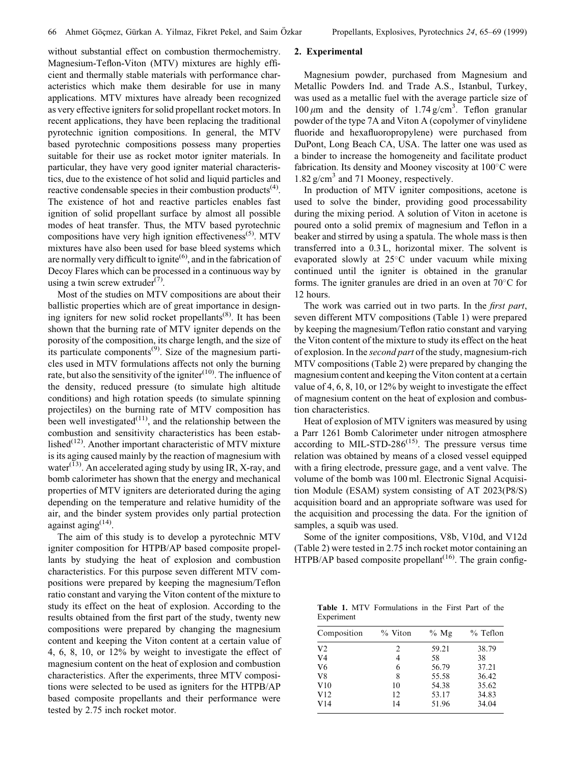without substantial effect on combustion thermochemistry. Magnesium-Teflon-Viton (MTV) mixtures are highly efficient and thermally stable materials with performance characteristics which make them desirable for use in many applications. MTV mixtures have already been recognized as very effective igniters for solid propellant rocket motors. In recent applications, they have been replacing the traditional pyrotechnic ignition compositions. In general, the MTV based pyrotechnic compositions possess many properties suitable for their use as rocket motor igniter materials. In particular, they have very good igniter material characteristics, due to the existence of hot solid and liquid particles and reactive condensable species in their combustion products<sup> $(4)$ </sup>. The existence of hot and reactive particles enables fast ignition of solid propellant surface by almost all possible modes of heat transfer. Thus, the MTV based pyrotechnic compositions have very high ignition effectiveness<sup> $(5)$ </sup>. MTV mixtures have also been used for base bleed systems which are normally very difficult to ignite<sup>(6)</sup>, and in the fabrication of Decoy Flares which can be processed in a continuous way by using a twin screw extruder<sup> $(7)$ </sup>.

Most of the studies on MTV compositions are about their ballistic properties which are of great importance in designing igniters for new solid rocket propellants<sup>(8)</sup>. It has been shown that the burning rate of MTV igniter depends on the porosity of the composition, its charge length, and the size of its particulate components<sup> $(9)$ </sup>. Size of the magnesium particles used in MTV formulations affects not only the burning rate, but also the sensitivity of the igniter<sup> $(10)$ </sup>. The influence of the density, reduced pressure (to simulate high altitude conditions) and high rotation speeds (to simulate spinning projectiles) on the burning rate of MTV composition has been well investigated $(11)$ , and the relationship between the combustion and sensitivity characteristics has been established $(12)$ . Another important characteristic of MTV mixture is its aging caused mainly by the reaction of magnesium with water $^{(13)}$ . An accelerated aging study by using IR, X-ray, and bomb calorimeter has shown that the energy and mechanical properties of MTV igniters are deteriorated during the aging depending on the temperature and relative humidity of the air, and the binder system provides only partial protection against aging  $(14)$ .

The aim of this study is to develop a pyrotechnic MTV igniter composition for HTPB/AP based composite propellants by studying the heat of explosion and combustion characteristics. For this purpose seven different MTV compositions were prepared by keeping the magnesium/Teflon ratio constant and varying the Viton content of the mixture to study its effect on the heat of explosion. According to the results obtained from the first part of the study, twenty new compositions were prepared by changing the magnesium content and keeping the Viton content at a certain value of 4, 6, 8, 10, or 12% by weight to investigate the effect of magnesium content on the heat of explosion and combustion characteristics. After the experiments, three MTV compositions were selected to be used as igniters for the HTPB/AP based composite propellants and their performance were tested by 2.75 inch rocket motor.

# 2. Experimental

Magnesium powder, purchased from Magnesium and Metallic Powders Ind. and Trade A.S., Istanbul, Turkey, was used as a metallic fuel with the average particle size of 100  $\mu$ m and the density of 1.74 g/cm<sup>3</sup>. Teflon granular powder of the type 7A and Viton A (copolymer of vinylidene fluoride and hexafluoropropylene) were purchased from DuPont, Long Beach CA, USA. The latter one was used as a binder to increase the homogeneity and facilitate product fabrication. Its density and Mooney viscosity at  $100^{\circ}$ C were 1.82 g/cm<sup>3</sup> and 71 Mooney, respectively.

In production of MTV igniter compositions, acetone is used to solve the binder, providing good processability during the mixing period. A solution of Viton in acetone is poured onto a solid premix of magnesium and Teflon in a beaker and stirred by using a spatula. The whole mass is then transferred into a 0.3 L, horizontal mixer. The solvent is evaporated slowly at  $25^{\circ}$ C under vacuum while mixing continued until the igniter is obtained in the granular forms. The igniter granules are dried in an oven at  $70^{\circ}$ C for 12 hours.

The work was carried out in two parts. In the *first part*, seven different MTV compositions (Table 1) were prepared by keeping the magnesium/Teflon ratio constant and varying the Viton content of the mixture to study its effect on the heat of explosion. In the second part of the study, magnesium-rich MTV compositions (Table 2) were prepared by changing the magnesium content and keeping the Viton content at a certain value of 4, 6, 8, 10, or 12% by weight to investigate the effect of magnesium content on the heat of explosion and combustion characteristics.

Heat of explosion of MTV igniters was measured by using a Parr 1261 Bomb Calorimeter under nitrogen atmosphere according to MIL-STD-28 $6^{(15)}$ . The pressure versus time relation was obtained by means of a closed vessel equipped with a firing electrode, pressure gage, and a vent valve. The volume of the bomb was 100 ml. Electronic Signal Acquisition Module (ESAM) system consisting of AT 2023(P8/S) acquisition board and an appropriate software was used for the acquisition and processing the data. For the ignition of samples, a squib was used.

Some of the igniter compositions, V8b, V10d, and V12d (Table 2) were tested in 2.75 inch rocket motor containing an HTPB/AP based composite propellant<sup> $(16)$ </sup>. The grain config-

Table 1. MTV Formulations in the First Part of the Experiment

| Composition    | $\%$ Viton | $%$ Mg | $%$ Teflon |
|----------------|------------|--------|------------|
| V <sub>2</sub> | 2          | 59.21  | 38.79      |
| V <sub>4</sub> | 4          | 58     | 38         |
| V6             | 6          | 56.79  | 37.21      |
| V8             | 8          | 55.58  | 36.42      |
| V10            | 10         | 54.38  | 35.62      |
| V12            | 12.        | 53.17  | 34.83      |
| V14            | 14         | 51.96  | 34.04      |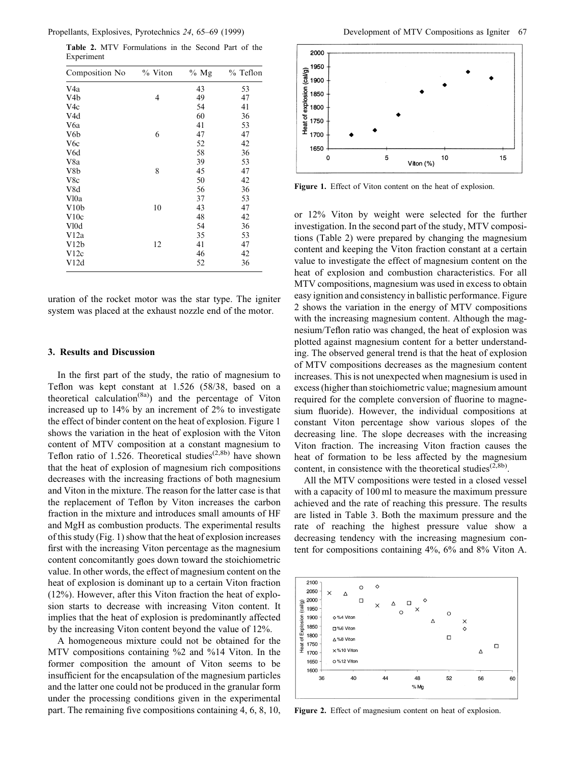Propellants, Explosives, Pyrotechnics 24, 65–69 (1999) Development of MTV Compositions as Igniter 67

| Composition No    | $\%$ Viton | % $Mg$ | $%$ Teflon |
|-------------------|------------|--------|------------|
| V <sub>4</sub> a  |            | 43     | 53         |
| V <sub>4</sub> b  | 4          | 49     | 47         |
| V4c               |            | 54     | 41         |
| V4d               |            | 60     | 36         |
| V6a               |            | 41     | 53         |
| V <sub>6</sub> b  | 6          | 47     | 47         |
| V6c               |            | 52     | 42         |
| V6d               |            | 58     | 36         |
| V8a               |            | 39     | 53         |
| V8b               | 8          | 45     | 47         |
| V8c               |            | 50     | 42         |
| V8d               |            | 56     | 36         |
| V <sub>l</sub> 0a |            | 37     | 53         |
| V10 <sub>b</sub>  | 10         | 43     | 47         |
| V10c              |            | 48     | 42         |
| V <sub>10</sub> d |            | 54     | 36         |
| V12a              |            | 35     | 53         |
| V12b              | 12         | 41     | 47         |
| V12c              |            | 46     | 42         |
| V12d              |            | 52     | 36         |

Table 2. MTV Formulations in the Second Part of the Experiment

uration of the rocket motor was the star type. The igniter system was placed at the exhaust nozzle end of the motor.

## 3. Results and Discussion

In the first part of the study, the ratio of magnesium to Teflon was kept constant at 1.526 (58/38, based on a theoretical calculation<sup>(8a)</sup>) and the percentage of Viton increased up to 14% by an increment of 2% to investigate the effect of binder content on the heat of explosion. Figure 1 shows the variation in the heat of explosion with the Viton content of MTV composition at a constant magnesium to Teflon ratio of 1.526. Theoretical studies<sup>(2,8b)</sup> have shown that the heat of explosion of magnesium rich compositions decreases with the increasing fractions of both magnesium and Viton in the mixture. The reason for the latter case is that the replacement of Teflon by Viton increases the carbon fraction in the mixture and introduces small amounts of HF and MgH as combustion products. The experimental results of this study (Fig. 1) show that the heat of explosion increases first with the increasing Viton percentage as the magnesium content concomitantly goes down toward the stoichiometric value. In other words, the effect of magnesium content on the heat of explosion is dominant up to a certain Viton fraction (12%). However, after this Viton fraction the heat of explosion starts to decrease with increasing Viton content. It implies that the heat of explosion is predominantly affected by the increasing Viton content beyond the value of 12%.

A homogeneous mixture could not be obtained for the MTV compositions containing %2 and %14 Viton. In the former composition the amount of Viton seems to be insufficient for the encapsulation of the magnesium particles and the latter one could not be produced in the granular form under the processing conditions given in the experimental part. The remaining five compositions containing  $4, 6, 8, 10$ ,



Figure 1. Effect of Viton content on the heat of explosion.

or 12% Viton by weight were selected for the further investigation. In the second part of the study, MTV compositions (Table 2) were prepared by changing the magnesium content and keeping the Viton fraction constant at a certain value to investigate the effect of magnesium content on the heat of explosion and combustion characteristics. For all MTV compositions, magnesium was used in excess to obtain easy ignition and consistency in ballistic performance. Figure 2 shows the variation in the energy of MTV compositions with the increasing magnesium content. Although the magnesium/Teflon ratio was changed, the heat of explosion was plotted against magnesium content for a better understanding. The observed general trend is that the heat of explosion of MTV compositions decreases as the magnesium content increases. This is not unexpected when magnesium is used in excess (higher than stoichiometric value; magnesium amount required for the complete conversion of fluorine to magnesium fluoride). However, the individual compositions at constant Viton percentage show various slopes of the decreasing line. The slope decreases with the increasing Viton fraction. The increasing Viton fraction causes the heat of formation to be less affected by the magnesium content, in consistence with the theoretical studies<sup> $(2,8b)$ </sup>.

All the MTV compositions were tested in a closed vessel with a capacity of 100 ml to measure the maximum pressure achieved and the rate of reaching this pressure. The results are listed in Table 3. Both the maximum pressure and the rate of reaching the highest pressure value show a decreasing tendency with the increasing magnesium content for compositions containing 4%, 6% and 8% Viton A.



Figure 2. Effect of magnesium content on heat of explosion.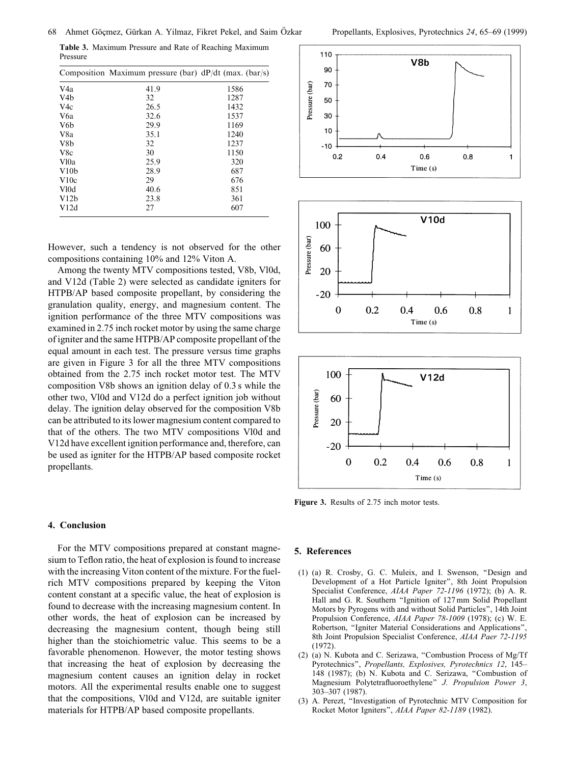Table 3. Maximum Pressure and Rate of Reaching Maximum Pressure

|                   | Composition Maximum pressure (bar) $dP/dt$ (max. (bar/s) |      |
|-------------------|----------------------------------------------------------|------|
| V4a               | 41.9                                                     | 1586 |
| V <sub>4</sub> b  | 32                                                       | 1287 |
| V4c               | 26.5                                                     | 1432 |
| V6a               | 32.6                                                     | 1537 |
| V6b               | 29.9                                                     | 1169 |
| V8a               | 35.1                                                     | 1240 |
| V <sub>8</sub> b  | 32                                                       | 1237 |
| V8c               | 30                                                       | 1150 |
| V <sub>l</sub> 0a | 25.9                                                     | 320  |
| V10 <sub>b</sub>  | 28.9                                                     | 687  |
| V10c              | 29                                                       | 676  |
| V <sub>10</sub> d | 40.6                                                     | 851  |
| V12b              | 23.8                                                     | 361  |
| V12d              | 27                                                       | 607  |

However, such a tendency is not observed for the other compositions containing 10% and 12% Viton A.

Among the twenty MTV compositions tested, V8b, Vl0d, and V12d (Table 2) were selected as candidate igniters for HTPB/AP based composite propellant, by considering the granulation quality, energy, and magnesium content. The ignition performance of the three MTV compositions was examined in 2.75 inch rocket motor by using the same charge of igniter and the same HTPB/AP composite propellant of the equal amount in each test. The pressure versus time graphs are given in Figure 3 for all the three MTV compositions obtained from the 2.75 inch rocket motor test. The MTV composition V8b shows an ignition delay of 0.3 s while the other two, Vl0d and V12d do a perfect ignition job without delay. The ignition delay observed for the composition V8b can be attributed to its lower magnesium content compared to that of the others. The two MTV compositions Vl0d and V12d have excellent ignition performance and, therefore, can be used as igniter for the HTPB/AP based composite rocket propellants.

### 4. Conclusion

For the MTV compositions prepared at constant magnesium to Teflon ratio, the heat of explosion is found to increase with the increasing Viton content of the mixture. For the fuelrich MTV compositions prepared by keeping the Viton content constant at a specific value, the heat of explosion is found to decrease with the increasing magnesium content. In other words, the heat of explosion can be increased by decreasing the magnesium content, though being still higher than the stoichiometric value. This seems to be a favorable phenomenon. However, the motor testing shows that increasing the heat of explosion by decreasing the magnesium content causes an ignition delay in rocket motors. All the experimental results enable one to suggest that the compositions, Vl0d and V12d, are suitable igniter materials for HTPB/AP based composite propellants.



Figure 3. Results of 2.75 inch motor tests.

#### 5. References

(1) (a) R. Crosby, G. C. Muleix, and I. Swenson, ``Design and Development of a Hot Particle Igniter'', 8th Joint Propulsion Specialist Conference, AIAA Paper 72-1196 (1972); (b) A. R. Hall and G. R. Southern "Ignition of 127 mm Solid Propellant Motors by Pyrogens with and without Solid Particles'', 14th Joint Propulsion Conference, AIAA Paper 78-1009 (1978); (c) W. E. Robertson, "Igniter Material Considerations and Applications", 8th Joint Propulsion Specialist Conference, AIAA Paer 72-1195 (1972).

Time (s)

- (2) (a) N. Kubota and C. Serizawa, "Combustion Process of Mg/Tf Pyrotechnics", Propellants, Explosives, Pyrotechnics 12, 145-148 (1987); (b) N. Kubota and C. Serizawa, "Combustion of Magnesium Polytetrafluoroethylene" J. Propulsion Power 3, 303±307 (1987).
- (3) A. Perezt, ``Investigation of Pyrotechnic MTV Composition for Rocket Motor Igniters'', AIAA Paper 82-1189 (1982).